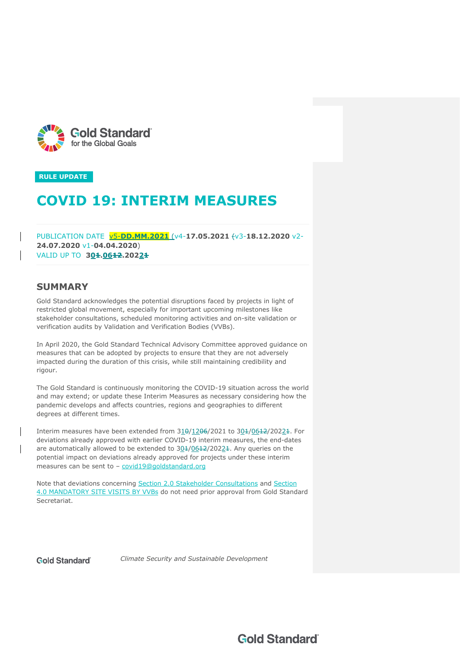



# **COVID 19: INTERIM MEASURES**

PUBLICATION DATE v5-**DD.MM.2021** (v4-**17.05.2021** (v3-**18.12.2020** v2- **24.07.2020** v1-**04.04.2020**) VALID UP TO **304.06<del>12</del>.2022<del>1</del>** 

# **SUMMARY**

Gold Standard acknowledges the potential disruptions faced by projects in light of restricted global movement, especially for important upcoming milestones like stakeholder consultations, scheduled monitoring activities and on-site validation or verification audits by Validation and Verification Bodies (VVBs).

In April 2020, the Gold Standard Technical Advisory Committee approved guidance on measures that can be adopted by projects to ensure that they are not adversely impacted during the duration of this crisis, while still maintaining credibility and rigour.

The Gold Standard is continuously monitoring the COVID-19 situation across the world and may extend; or update these Interim Measures as necessary considering how the pandemic develops and affects countries, regions and geographies to different degrees at different times.

Interim measures have been extended from  $310/1206/2021$  to  $304/0642/20224$ . For deviations already approved with earlier COVID-19 interim measures, the end-dates are automatically allowed to be extended to  $304/0642/20224$ . Any queries on the potential impact on deviations already approved for projects under these interim measures can be sent to - covid19@goldstandard.org

Note that deviations concerning Section 2.0 Stakeholder Consultations and Section 4.0 MANDATORY SITE VISITS BY VVBs do not need prior approval from Gold Standard Secretariat.

**Gold Standard** 

*Climate Security and Sustainable Development*

**Gold Standard**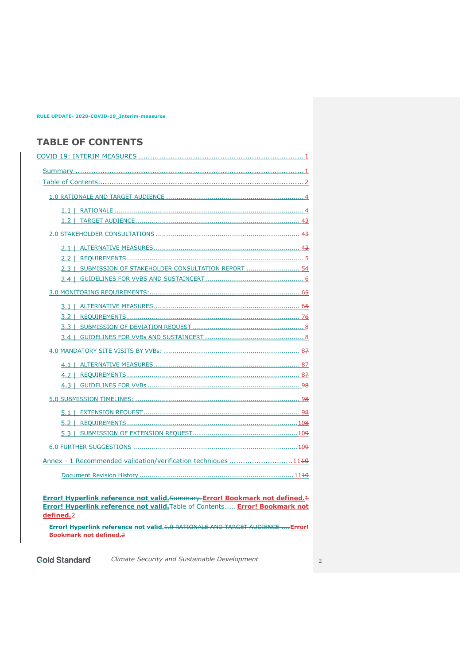# **TABLE OF CONTENTS**

| $2.2 \perp$                                                      |
|------------------------------------------------------------------|
| SUBMISSION OF STAKEHOLDER CONSULTATION REPORT  54<br>$2.3 \perp$ |
|                                                                  |
|                                                                  |
|                                                                  |
| $3.2 \perp$                                                      |
|                                                                  |
|                                                                  |
|                                                                  |
| $4.1 \perp$                                                      |
|                                                                  |
|                                                                  |
|                                                                  |
|                                                                  |
|                                                                  |
|                                                                  |
|                                                                  |
| Annex - 1 Recommended validation/verification techniques 1110    |
|                                                                  |

**Error! Hyperlink reference not valid.**Summary.**Error! Bookmark not defined.**1 **Error! Hyperlink reference not valid.**Table of Contents..... **Error! Bookmark not defined.**2

**Error! Hyperlink reference not valid.**1.0 RATIONALE AND TARGET AUDIENCE ....**Error! Bookmark not defined.**2

**Gold Standard**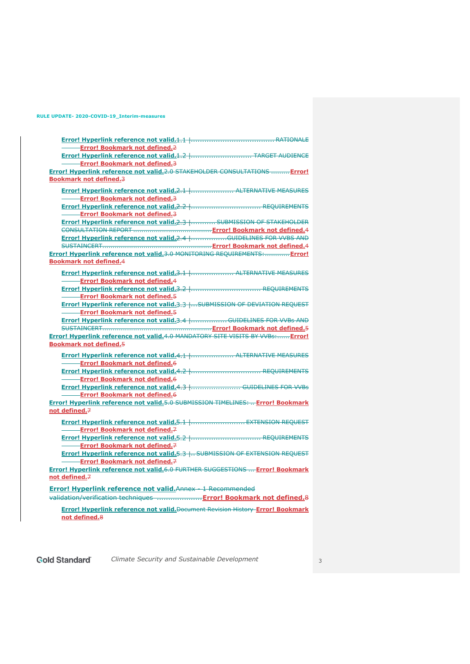| <b>Error! Bookmark not defined.</b>                                             |  |
|---------------------------------------------------------------------------------|--|
| Error! Hyperlink reference not valid.1.2   TARGET AUDIENCE                      |  |
| <b>-Error! Bookmark not defined.3</b>                                           |  |
| Error! Hyperlink reference not valid.2.0 STAKEHOLDER CONSULTATIONS  Error!      |  |
| <b>Bookmark not defined.3</b>                                                   |  |
|                                                                                 |  |
| <b>Error! Hyperlink reference not valid.</b> 2.1    ALTERNATIVE MEASURES        |  |
| -Error! Bookmark not defined.3                                                  |  |
|                                                                                 |  |
| <b>Error! Bookmark not defined.3</b>                                            |  |
| Error! Hyperlink reference not valid.2.3    SUBMISSION OF STAKEHOLDER           |  |
|                                                                                 |  |
| Error! Hyperlink reference not valid.2.4    GUIDELINES FOR WVBS AND             |  |
|                                                                                 |  |
| Error! Hyperlink reference not valid.3.0 MONITORING REQUIREMENTS: Error!        |  |
| <b>Bookmark not defined.4</b>                                                   |  |
|                                                                                 |  |
| -Error! Bookmark not defined.4                                                  |  |
|                                                                                 |  |
| -Error! Bookmark not defined.5                                                  |  |
| Error! Hyperlink reference not valid.3.3    SUBMISSION OF DEVIATION REQUEST     |  |
| -Error! Bookmark not defined.5                                                  |  |
| Error! Hyperlink reference not valid.3.4    GUIDELINES FOR WVBs AND             |  |
|                                                                                 |  |
| Error! Hyperlink reference not valid.4.0 MANDATORY SITE VISITS BY VVBs: Error!  |  |
| <b>Bookmark not defined.5</b>                                                   |  |
| Error! Hyperlink reference not valid.4.1    ALTERNATIVE MEASURES                |  |
| Error! Bookmark not defined.6                                                   |  |
|                                                                                 |  |
| Error! Bookmark not defined.6                                                   |  |
| <b>Error! Hyperlink reference not valid.4.3    GUIDELINES FOR VVBs</b>          |  |
| <b>-Error! Bookmark not defined.6</b>                                           |  |
| Error! Hyperlink reference not valid.5.0 SUBMISSION TIMELINES:  Error! Bookmark |  |
| not defined.7                                                                   |  |
|                                                                                 |  |
| Error! Hyperlink reference not valid.5.1    EXTENSION REQUEST                   |  |
| -Error! Bookmark not defined.7                                                  |  |
| Error! Hyperlink reference not valid.5.2   REQUIREMENTS                         |  |
| -Error! Bookmark not defined.7                                                  |  |
| Error! Hyperlink reference not valid.5.3  SUBMISSION OF EXTENSION REQUEST       |  |
| - <b>Error! Bookmark not defined.</b> 7                                         |  |
| Error! Hyperlink reference not valid.6.0 FURTHER SUGGESTIONS  Error! Bookmark   |  |
| not defined.7                                                                   |  |
| <b>Error! Hyperlink reference not valid.</b> Annex - 1 Recommended              |  |
| validation/verification techniques  Error! Bookmark not defined.8               |  |
|                                                                                 |  |

**Error! Hyperlink reference not valid.**Document Revision History **Error! Bookmark not defined.**8

**Gold Standard**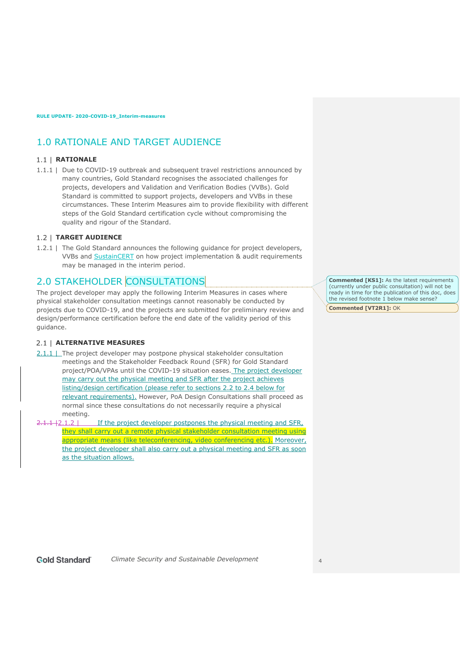# 1.0 RATIONALE AND TARGET AUDIENCE

### 1.1 | **RATIONALE**

1.1.1 | Due to COVID-19 outbreak and subsequent travel restrictions announced by many countries, Gold Standard recognises the associated challenges for projects, developers and Validation and Verification Bodies (VVBs). Gold Standard is committed to support projects, developers and VVBs in these circumstances. These Interim Measures aim to provide flexibility with different steps of the Gold Standard certification cycle without compromising the quality and rigour of the Standard.

### **TARGET AUDIENCE**

1.2.1 | The Gold Standard announces the following guidance for project developers, VVBs and SustainCERT on how project implementation & audit requirements may be managed in the interim period.

# 2.0 STAKEHOLDER CONSULTATIONS

The project developer may apply the following Interim Measures in cases where physical stakeholder consultation meetings cannot reasonably be conducted by projects due to COVID-19, and the projects are submitted for preliminary review and design/performance certification before the end date of the validity period of this guidance.

### **ALTERNATIVE MEASURES**

- 2.1.1 | The project developer may postpone physical stakeholder consultation meetings and the Stakeholder Feedback Round (SFR) for Gold Standard project/POA/VPAs until the COVID-19 situation eases. The project developer may carry out the physical meeting and SFR after the project achieves listing/design certification (please refer to sections 2.2 to 2.4 below for relevant requirements). However, PoA Design Consultations shall proceed as normal since these consultations do not necessarily require a physical meeting.
- $2.1.1 + 2.1.2$  If the project developer postpones the physical meeting and SFR, they shall carry out a remote physical stakeholder consultation meeting using appropriate means (like teleconferencing, video conferencing etc.). Moreover, the project developer shall also carry out a physical meeting and SFR as soon as the situation allows.

**Commented [KS1]:** As the latest requirements (currently under public consultation) will not be ready in time for the publication of this doc, does the revised footnote  $1$  below make sense?

**Commented [VT2R1]:** OK

#### **Gold Standard**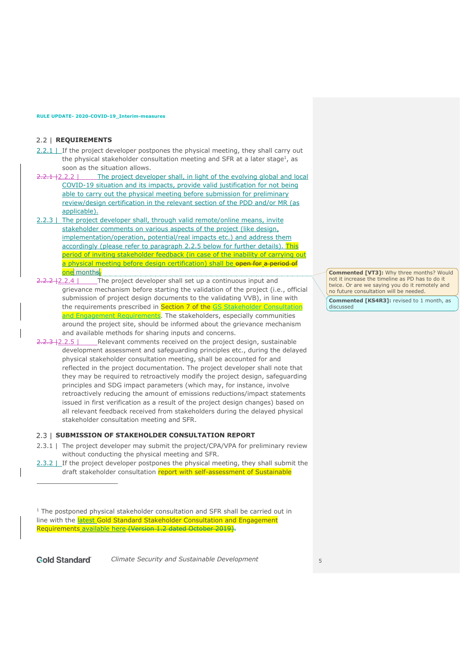#### 2.2 | **REQUIREMENTS**

- $2.2.1$  | If the project developer postpones the physical meeting, they shall carry out the physical stakeholder consultation meeting and SFR at a later stage<sup>1</sup>, as soon as the situation allows.
- 2.2.1 | 2.2.2 | The project developer shall, in light of the evolving global and local COVID-19 situation and its impacts, provide valid justification for not being able to carry out the physical meeting before submission for preliminary review/design certification in the relevant section of the PDD and/or MR (as applicable).
- 2.2.3 | The project developer shall, through valid remote/online means, invite stakeholder comments on various aspects of the project (like design, implementation/operation, potential/real impacts etc.) and address them accordingly (please refer to paragraph 2.2.5 below for further details). This period of inviting stakeholder feedback (in case of the inability of carrying out a physical meeting before design certification) shall be open for a period of one month<del>s.</del>
- $2.2.2 + 2.2.4$  The project developer shall set up a continuous input and grievance mechanism before starting the validation of the project (i.e., official submission of project design documents to the validating VVB), in line with the requirements prescribed in Section 7 of the GS Stakeholder Consultation and Engagement Requirements. The stakeholders, especially communities around the project site, should be informed about the grievance mechanism and available methods for sharing inputs and concerns.
- 2.2.3 | 2.2.5 | Relevant comments received on the project design, sustainable development assessment and safeguarding principles etc., during the delayed physical stakeholder consultation meeting, shall be accounted for and reflected in the project documentation. The project developer shall note that they may be required to retroactively modify the project design, safeguarding principles and SDG impact parameters (which may, for instance, involve retroactively reducing the amount of emissions reductions/impact statements issued in first verification as a result of the project design changes) based on all relevant feedback received from stakeholders during the delayed physical stakeholder consultation meeting and SFR.

#### **2.3 | SUBMISSION OF STAKEHOLDER CONSULTATION REPORT**

- 2.3.1 | The project developer may submit the project/CPA/VPA for preliminary review without conducting the physical meeting and SFR.
- 2.3.2 | If the project developer postpones the physical meeting, they shall submit the draft stakeholder consultation report with self-assessment of Sustainable

 $1$  The postponed physical stakeholder consultation and SFR shall be carried out in line with the latest Gold Standard Stakeholder Consultation and Engagement Requirements available here (Version 1.2 dated October 2019).

**Gold Standard** 

*Climate Security and Sustainable Development* 5

**Commented [VT3]:** Why three months? Would not it increase the timeline as PD has to do it twice. Or are we saying you do it remotely and no future consultation will be needed.

**Commented [KS4R3]:** revised to 1 month, as discussed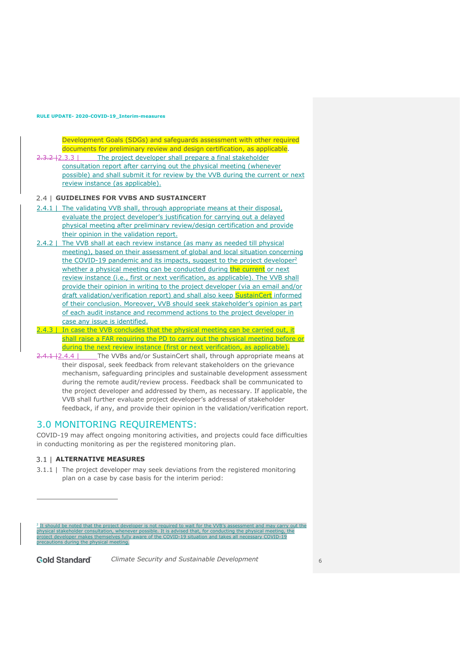Development Goals (SDGs) and safeguards assessment with other required documents for preliminary review and design certification, as applicable.

2.3.2 |2.3.3 | The project developer shall prepare a final stakeholder consultation report after carrying out the physical meeting (whenever possible) and shall submit it for review by the VVB during the current or next review instance (as applicable).

#### **GUIDELINES FOR VVBS AND SUSTAINCERT**

- 2.4.1 | The validating VVB shall, through appropriate means at their disposal, evaluate the project developer's justification for carrying out a delayed physical meeting after preliminary review/design certification and provide their opinion in the validation report.
- 2.4.2 | The VVB shall at each review instance (as many as needed till physical meeting), based on their assessment of global and local situation concerning the COVID-19 pandemic and its impacts, suggest to the project developer<sup>2</sup> whether a physical meeting can be conducted during the current or next review instance (i.e., first or next verification, as applicable). The VVB shall provide their opinion in writing to the project developer (via an email and/or draft validation/verification report) and shall also keep SustainCert informed of their conclusion. Moreover, VVB should seek stakeholder's opinion as part of each audit instance and recommend actions to the project developer in case any issue is identified.
- $2.3$  | In case the VVB concludes that the physical meeting can be carried out, it shall raise a FAR requiring the PD to carry out the physical meeting before or during the next review instance (first or next verification, as applicable).
- $2.4.1 + 2.4.4$  | The VVBs and/or SustainCert shall, through appropriate means at their disposal, seek feedback from relevant stakeholders on the grievance mechanism, safeguarding principles and sustainable development assessment during the remote audit/review process. Feedback shall be communicated to the project developer and addressed by them, as necessary. If applicable, the VVB shall further evaluate project developer's addressal of stakeholder feedback, if any, and provide their opinion in the validation/verification report.

### 3.0 MONITORING REQUIREMENTS:

COVID-19 may affect ongoing monitoring activities, and projects could face difficulties in conducting monitoring as per the registered monitoring plan.

#### **ALTERNATIVE MEASURES**

3.1.1 | The project developer may seek deviations from the registered monitoring plan on a case by case basis for the interim period:

 $^2$  It should be noted that the project developer is not required to wait for the VVB's assessment and may carry out the<br>physical stakeholder consultation, whenever possible. It is advised that, for conducting the physic project developer makes themselves fully aware of the COVID-19 situation and takes all necessary COVID-19 precautions during the physical meeting.

**Gold Standard**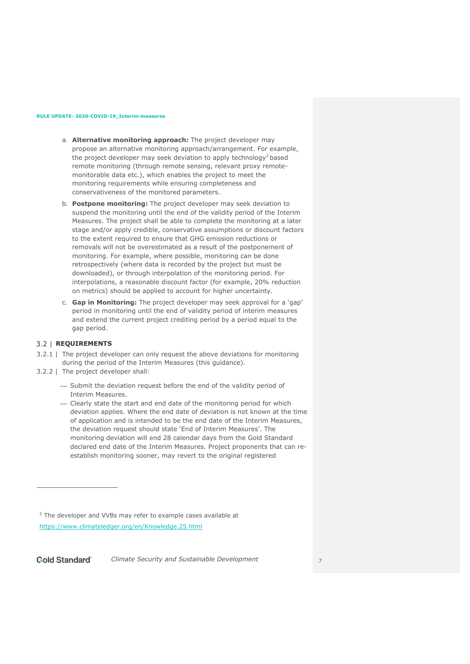- a. **Alternative monitoring approach:** The project developer may propose an alternative monitoring approach/arrangement. For example, the project developer may seek deviation to apply technology<sup>3</sup> based remote monitoring (through remote sensing, relevant proxy remotemonitorable data etc.), which enables the project to meet the monitoring requirements while ensuring completeness and conservativeness of the monitored parameters.
- b. **Postpone monitoring:** The project developer may seek deviation to suspend the monitoring until the end of the validity period of the Interim Measures. The project shall be able to complete the monitoring at a later stage and/or apply credible, conservative assumptions or discount factors to the extent required to ensure that GHG emission reductions or removals will not be overestimated as a result of the postponement of monitoring. For example, where possible, monitoring can be done retrospectively (where data is recorded by the project but must be downloaded), or through interpolation of the monitoring period. For interpolations, a reasonable discount factor (for example, 20% reduction on metrics) should be applied to account for higher uncertainty.
- c. **Gap in Monitoring:** The project developer may seek approval for a 'gap' period in monitoring until the end of validity period of interim measures and extend the current project crediting period by a period equal to the gap period.

### **REQUIREMENTS**

- 3.2.1 | The project developer can only request the above deviations for monitoring during the period of the Interim Measures (this guidance).
- 3.2.2 | The project developer shall:
	- ¾ Submit the deviation request before the end of the validity period of Interim Measures.
	- ¾ Clearly state the start and end date of the monitoring period for which deviation applies. Where the end date of deviation is not known at the time of application and is intended to be the end date of the Interim Measures, the deviation request should state 'End of Interim Measures'. The monitoring deviation will end 28 calendar days from the Gold Standard declared end date of the Interim Measures. Project proponents that can reestablish monitoring sooner, may revert to the original registered

<sup>3</sup> The developer and VVBs may refer to example cases available at https://www.climateledger.org/en/Knowledge.25.html

**Gold Standard** *Climate Security and Sustainable Development* 7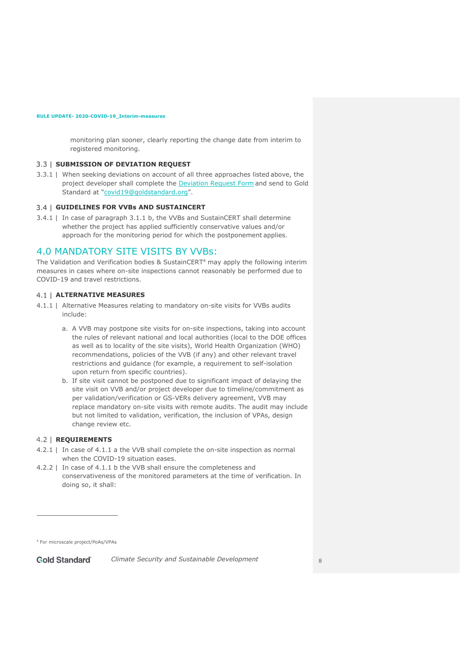monitoring plan sooner, clearly reporting the change date from interim to registered monitoring.

#### **SUBMISSION OF DEVIATION REQUEST**

3.3.1 | When seeking deviations on account of all three approaches listed above, the project developer shall complete the **Deviation Request Form** and send to Gold Standard at "covid19@goldstandard.org".

#### **GUIDELINES FOR VVBs AND SUSTAINCERT**

3.4.1 | In case of paragraph 3.1.1 b, the VVBs and SustainCERT shall determine whether the project has applied sufficiently conservative values and/or approach for the monitoring period for which the postponement applies.

# 4.0 MANDATORY SITE VISITS BY VVBs:

The Validation and Verification bodies & SustainCERT<sup>4</sup> may apply the following interim measures in cases where on-site inspections cannot reasonably be performed due to COVID-19 and travel restrictions.

#### **ALTERNATIVE MEASURES**

- 4.1.1 | Alternative Measures relating to mandatory on-site visits for VVBs audits include:
	- a. A VVB may postpone site visits for on-site inspections, taking into account the rules of relevant national and local authorities (local to the DOE offices as well as to locality of the site visits), World Health Organization (WHO) recommendations, policies of the VVB (if any) and other relevant travel restrictions and guidance (for example, a requirement to self-isolation upon return from specific countries).
	- b. If site visit cannot be postponed due to significant impact of delaying the site visit on VVB and/or project developer due to timeline/commitment as per validation/verification or GS-VERs delivery agreement, VVB may replace mandatory on-site visits with remote audits. The audit may include but not limited to validation, verification, the inclusion of VPAs, design change review etc.

#### **REQUIREMENTS**

- 4.2.1 | In case of 4.1.1 a the VVB shall complete the on-site inspection as normal when the COVID-19 situation eases.
- 4.2.2 | In case of 4.1.1 b the VVB shall ensure the completeness and conservativeness of the monitored parameters at the time of verification. In doing so, it shall:

<sup>4</sup> For microscale project/PoAs/VPAs

**Gold Standard**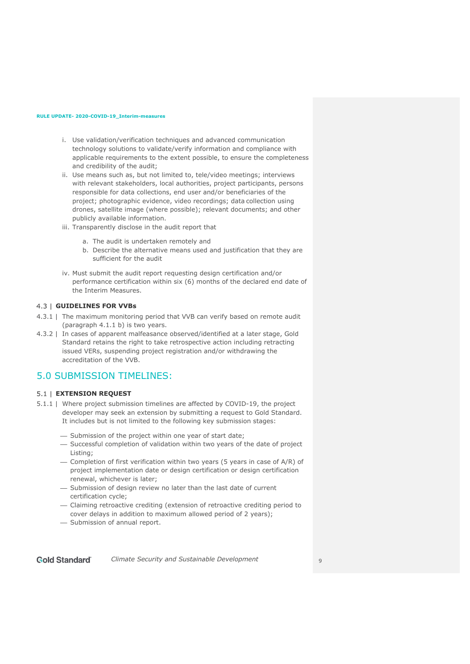- i. Use validation/verification techniques and advanced communication technology solutions to validate/verify information and compliance with applicable requirements to the extent possible, to ensure the completeness and credibility of the audit;
- ii. Use means such as, but not limited to, tele/video meetings; interviews with relevant stakeholders, local authorities, project participants, persons responsible for data collections, end user and/or beneficiaries of the project; photographic evidence, video recordings; data collection using drones, satellite image (where possible); relevant documents; and other publicly available information.
- iii. Transparently disclose in the audit report that
	- a. The audit is undertaken remotely and
	- b. Describe the alternative means used and justification that they are sufficient for the audit
- iv. Must submit the audit report requesting design certification and/or performance certification within six (6) months of the declared end date of the Interim Measures.

### **GUIDELINES FOR VVBs**

- 4.3.1 | The maximum monitoring period that VVB can verify based on remote audit (paragraph 4.1.1 b) is two years.
- 4.3.2 | In cases of apparent malfeasance observed/identified at a later stage, Gold Standard retains the right to take retrospective action including retracting issued VERs, suspending project registration and/or withdrawing the accreditation of the VVB.

# 5.0 SUBMISSION TIMELINES:

#### **EXTENSION REQUEST**

- 5.1.1 | Where project submission timelines are affected by COVID-19, the project developer may seek an extension by submitting a request to Gold Standard. It includes but is not limited to the following key submission stages:
	- Submission of the project within one year of start date;
	- ¾ Successful completion of validation within two years of the date of project Listing;
	- ¾ Completion of first verification within two years (5 years in case of A/R) of project implementation date or design certification or design certification renewal, whichever is later;
	- Submission of design review no later than the last date of current certification cycle;
	- ¾ Claiming retroactive crediting (extension of retroactive crediting period to cover delays in addition to maximum allowed period of 2 years);
	- Submission of annual report.

**Gold Standard**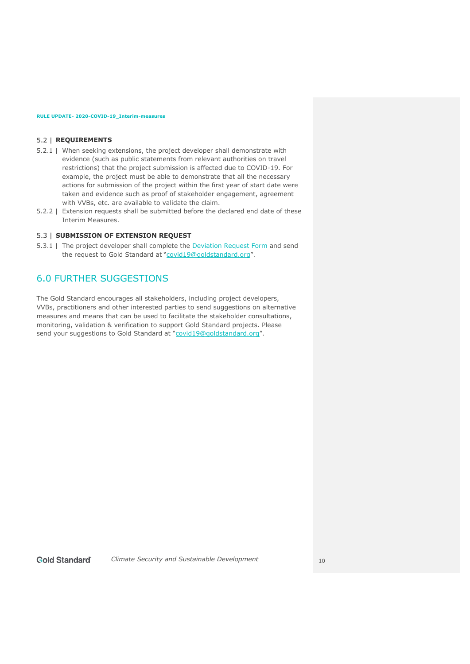#### **F.2 | REQUIREMENTS**

- 5.2.1 | When seeking extensions, the project developer shall demonstrate with evidence (such as public statements from relevant authorities on travel restrictions) that the project submission is affected due to COVID-19. For example, the project must be able to demonstrate that all the necessary actions for submission of the project within the first year of start date were taken and evidence such as proof of stakeholder engagement, agreement with VVBs, etc. are available to validate the claim.
- 5.2.2 | Extension requests shall be submitted before the declared end date of these Interim Measures.

#### **SUBMISSION OF EXTENSION REQUEST**

5.3.1 | The project developer shall complete the **Deviation Request Form** and send the request to Gold Standard at "covid19@goldstandard.org".

# 6.0 FURTHER SUGGESTIONS

The Gold Standard encourages all stakeholders, including project developers, VVBs, practitioners and other interested parties to send suggestions on alternative measures and means that can be used to facilitate the stakeholder consultations, monitoring, validation & verification to support Gold Standard projects. Please send your suggestions to Gold Standard at "covid19@goldstandard.org".

#### **Gold Standard**